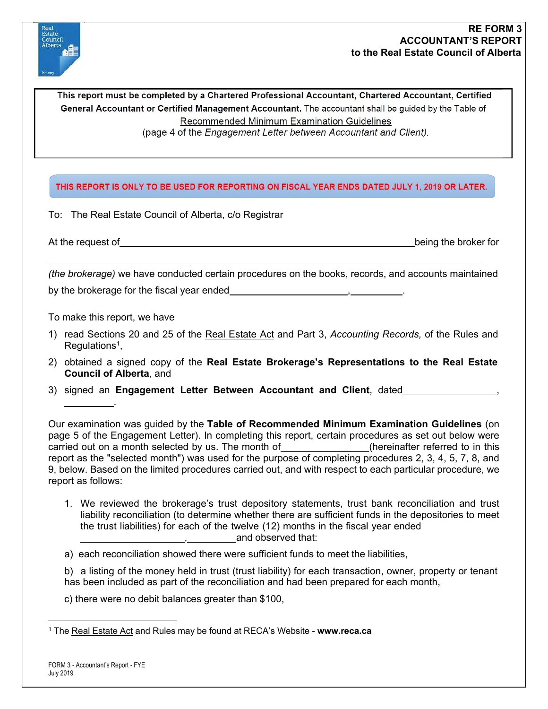

This report must be completed by a Chartered Professional Accountant, Chartered Accountant, Certified General Accountant or Certified Management Accountant. The accountant shall be guided by the Table of Recommended Minimum Examination Guidelines (page 4 of the Engagement Letter between Accountant and Client).

## THIS REPORT IS ONLY TO BE USED FOR REPORTING ON FISCAL YEAR ENDS DATED JULY 1, 2019 OR LATER.

To: The Real Estate Council of Alberta, c/o Registrar

At the request of being the broker for the broker for being the broker for the broker for the broker for the broker for

*(the brokerage)* we have conducted certain procedures on the books, records, and accounts maintained by the brokerage for the fiscal year ended

To make this report, we have

.

- 1) read Sections 20 and 25 of the Real Estate Act and Part 3, *Accounting Records,* of the Rules and Regulations<sup>1</sup>.
- 2) obtained a signed copy of the **Real Estate Brokerage's Representations to the Real Estate Council of Alberta**, and
- 3) signed an **Engagement Letter Between Accountant and Client**, dated ,

Our examination was guided by the **Table of Recommended Minimum Examination Guidelines** (on page 5 of the Engagement Letter). In completing this report, certain procedures as set out below were carried out on a month selected by us. The month of \_\_\_\_\_\_\_\_\_\_\_\_\_(hereinafter referred to in this report as the "selected month") was used for the purpose of completing procedures 2, 3, 4, 5, 7, 8, and 9, below. Based on the limited procedures carried out, and with respect to each particular procedure, we report as follows:

1. We reviewed the brokerage's trust depository statements, trust bank reconciliation and trust liability reconciliation (to determine whether there are sufficient funds in the depositories to meet the trust liabilities) for each of the twelve (12) months in the fiscal year ended , and observed that:

a) each reconciliation showed there were sufficient funds to meet the liabilities,

b) a listing of the money held in trust (trust liability) for each transaction, owner, property or tenant has been included as part of the reconciliation and had been prepared for each month,

c) there were no debit balances greater than \$100,

<sup>1</sup> The Real Estate Act and Rules may be found at RECA's Website - **[www.reca.ca](http://www.reca.ca/)**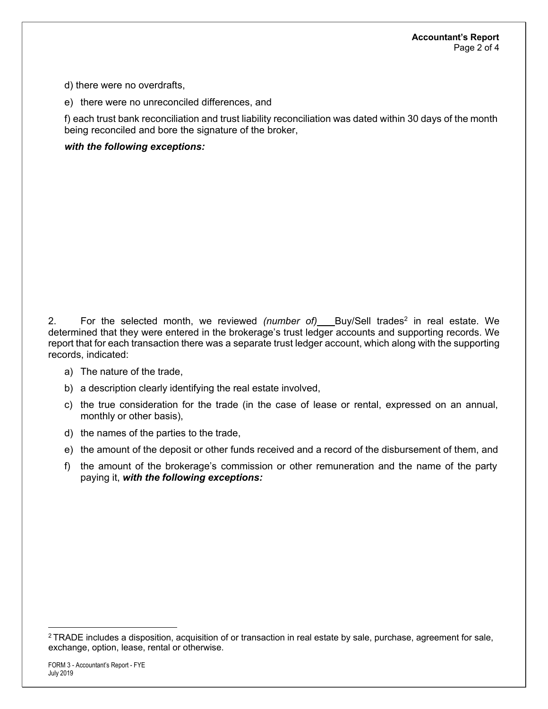d) there were no overdrafts,

e) there were no unreconciled differences, and

f) each trust bank reconciliation and trust liability reconciliation was dated within 30 days of the month being reconciled and bore the signature of the broker,

## *with the following exceptions:*

2. For the selected month, we reviewed *(number of)* Buy/Sell trades2 in real estate. We determined that they were entered in the brokerage's trust ledger accounts and supporting records. We report that for each transaction there was a separate trust ledger account, which along with the supporting records, indicated:

- a) The nature of the trade,
- b) a description clearly identifying the real estate involved,
- c) the true consideration for the trade (in the case of lease or rental, expressed on an annual, monthly or other basis),
- d) the names of the parties to the trade,
- e) the amount of the deposit or other funds received and a record of the disbursement of them, and
- f) the amount of the brokerage's commission or other remuneration and the name of the party paying it, *with the following exceptions:*

<sup>2</sup> TRADE includes a disposition, acquisition of or transaction in real estate by sale, purchase, agreement for sale, exchange, option, lease, rental or otherwise.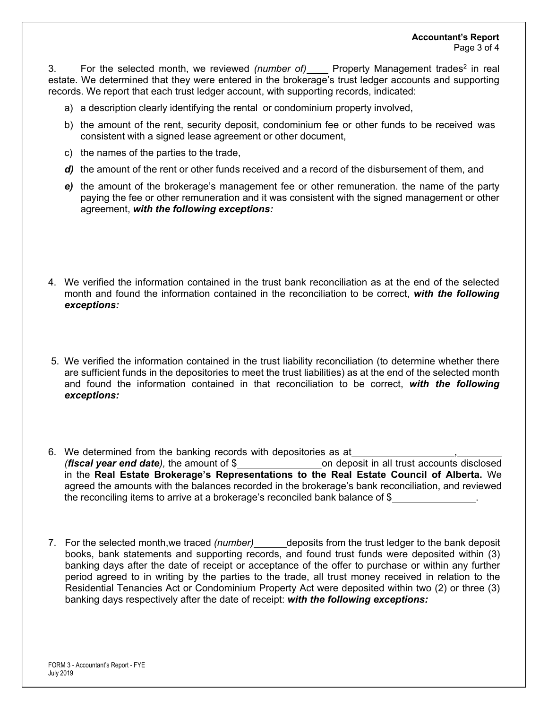3. For the selected month, we reviewed *(number of)* Property Management trades<sup>2</sup> in real estate. We determined that they were entered in the brokerage's trust ledger accounts and supporting records. We report that each trust ledger account, with supporting records, indicated:

- a) a description clearly identifying the rental or condominium property involved,
- b) the amount of the rent, security deposit, condominium fee or other funds to be received was consistent with a signed lease agreement or other document,
- c) the names of the parties to the trade,
- d) the amount of the rent or other funds received and a record of the disbursement of them, and
- *e)* the amount of the brokerage's management fee or other remuneration. the name of the party paying the fee or other remuneration and it was consistent with the signed management or other agreement, *with the following exceptions:*
- 4. We verified the information contained in the trust bank reconciliation as at the end of the selected month and found the information contained in the reconciliation to be correct, *with the following exceptions:*
- 5. We verified the information contained in the trust liability reconciliation (to determine whether there are sufficient funds in the depositories to meet the trust liabilities) as at the end of the selected month and found the information contained in that reconciliation to be correct, *with the following exceptions:*
- 6. We determined from the banking records with depositories as at , *(fiscal year end date),* the amount of \$ on deposit in all trust accounts disclosed in the **Real Estate Brokerage's Representations to the Real Estate Council of Alberta.** We agreed the amounts with the balances recorded in the brokerage's bank reconciliation, and reviewed the reconciling items to arrive at a brokerage's reconciled bank balance of \$
- 7. For the selected month,we traced *(number)\_\_\_\_\_\_*deposits from the trust ledger to the bank deposit books, bank statements and supporting records, and found trust funds were deposited within (3) banking days after the date of receipt or acceptance of the offer to purchase or within any further period agreed to in writing by the parties to the trade, all trust money received in relation to the Residential Tenancies Act or Condominium Property Act were deposited within two (2) or three (3) banking days respectively after the date of receipt: *with the following exceptions:*